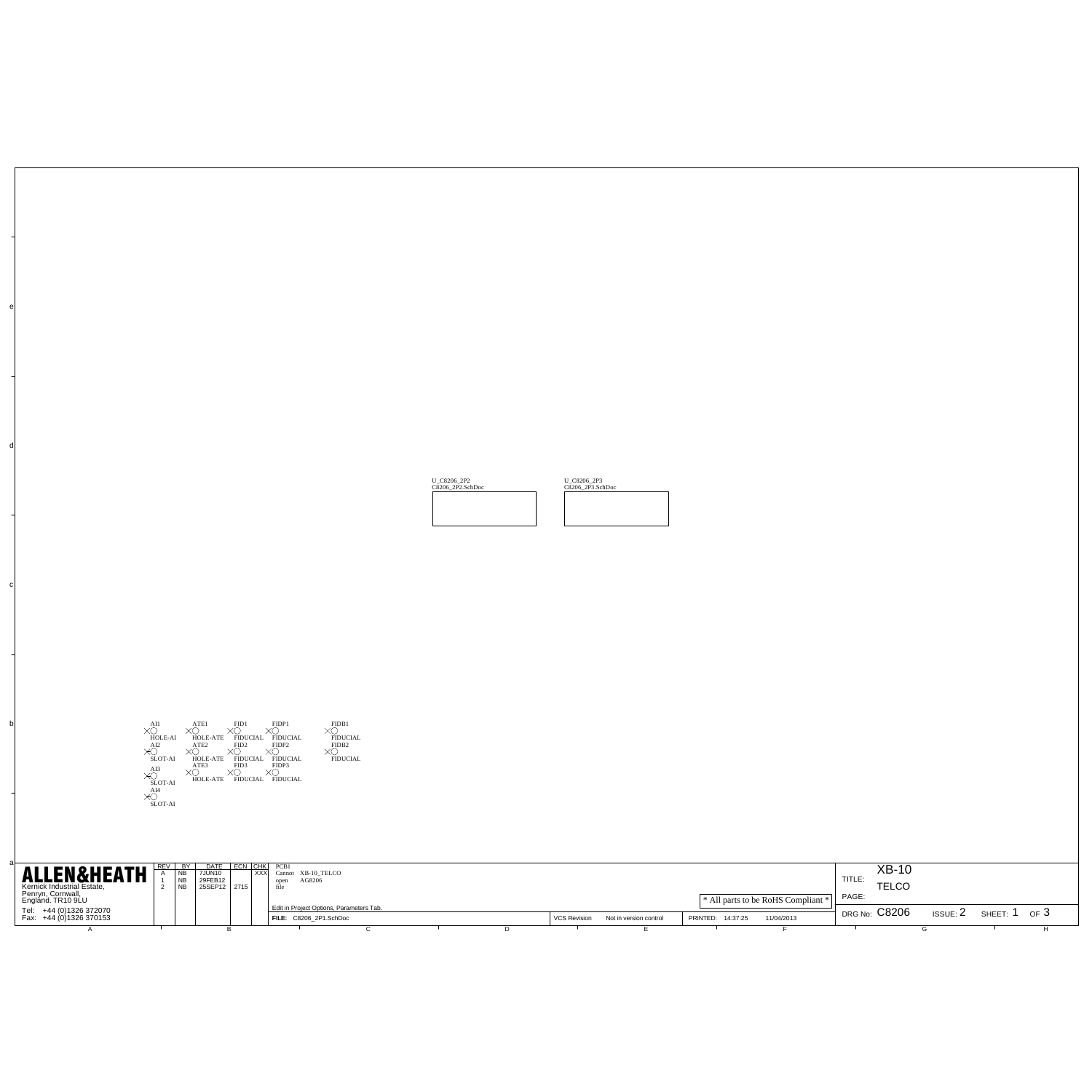|                        |        |                                                                                                                                                                                                                                                                                                                                                                             |  |                                                                                                                                             |                                                              |  | 1,009,35 |  | U_CADIN_2PT |                                  |                 |                                   |              |               |                        |  |
|------------------------|--------|-----------------------------------------------------------------------------------------------------------------------------------------------------------------------------------------------------------------------------------------------------------------------------------------------------------------------------------------------------------------------------|--|---------------------------------------------------------------------------------------------------------------------------------------------|--------------------------------------------------------------|--|----------|--|-------------|----------------------------------|-----------------|-----------------------------------|--------------|---------------|------------------------|--|
|                        |        |                                                                                                                                                                                                                                                                                                                                                                             |  |                                                                                                                                             |                                                              |  |          |  |             |                                  |                 |                                   |              |               |                        |  |
|                        |        |                                                                                                                                                                                                                                                                                                                                                                             |  |                                                                                                                                             |                                                              |  |          |  |             |                                  |                 |                                   |              |               |                        |  |
|                        |        |                                                                                                                                                                                                                                                                                                                                                                             |  |                                                                                                                                             |                                                              |  |          |  |             |                                  |                 |                                   |              |               |                        |  |
|                        |        | $\begin{picture}(180,10) \put(0,0){\vector(1,0){185}} \put(0,0){\vector(1,0){185}} \put(0,0){\vector(1,0){185}} \put(0,0){\vector(1,0){185}} \put(0,0){\vector(1,0){185}} \put(0,0){\vector(1,0){185}} \put(0,0){\vector(1,0){185}} \put(0,0){\vector(1,0){185}} \put(0,0){\vector(1,0){185}} \put(0,0){\vector(1,0){185}} \put(0,0){\vector(1,0){185}} \put(0,0){\vector($ |  |                                                                                                                                             | $\mathbf{x}_{\text{mean}}^{\text{mean}}$                     |  |          |  |             |                                  |                 |                                   |              |               |                        |  |
|                        |        |                                                                                                                                                                                                                                                                                                                                                                             |  |                                                                                                                                             |                                                              |  |          |  |             |                                  |                 |                                   |              |               |                        |  |
|                        | sey av |                                                                                                                                                                                                                                                                                                                                                                             |  |                                                                                                                                             |                                                              |  |          |  |             |                                  |                 |                                   |              | XB-10         |                        |  |
| <b>ALLEN&amp;HEATH</b> | Ţ      | <b>CATE ECN 955</b><br>2005/02<br>2006/PD 2716<br>E                                                                                                                                                                                                                                                                                                                         |  | $\begin{array}{ll} \textbf{PCE1} & \\ \textbf{Carnet} & \textbf{NE 10\_THECD} \\ \text{spec} & \textbf{AGSD6} \\ \textbf{50} & \end{array}$ |                                                              |  |          |  |             |                                  |                 | * All parts to be RoITS Compliant | ma:<br>PAGE: | TELCO         |                        |  |
| T# #181313781          |        |                                                                                                                                                                                                                                                                                                                                                                             |  | ÷                                                                                                                                           | Edit in Project/Options, Parameters Ta<br>FLE: CIDS 3P.3/206 |  |          |  |             | VCS Revision Natio vesion corpol | PRINTED: 143739 | 11042013                          |              | DRG No: C8206 | ISSUE: 2 SHEET: 1 OF 3 |  |
|                        |        |                                                                                                                                                                                                                                                                                                                                                                             |  |                                                                                                                                             |                                                              |  |          |  |             |                                  |                 |                                   |              |               |                        |  |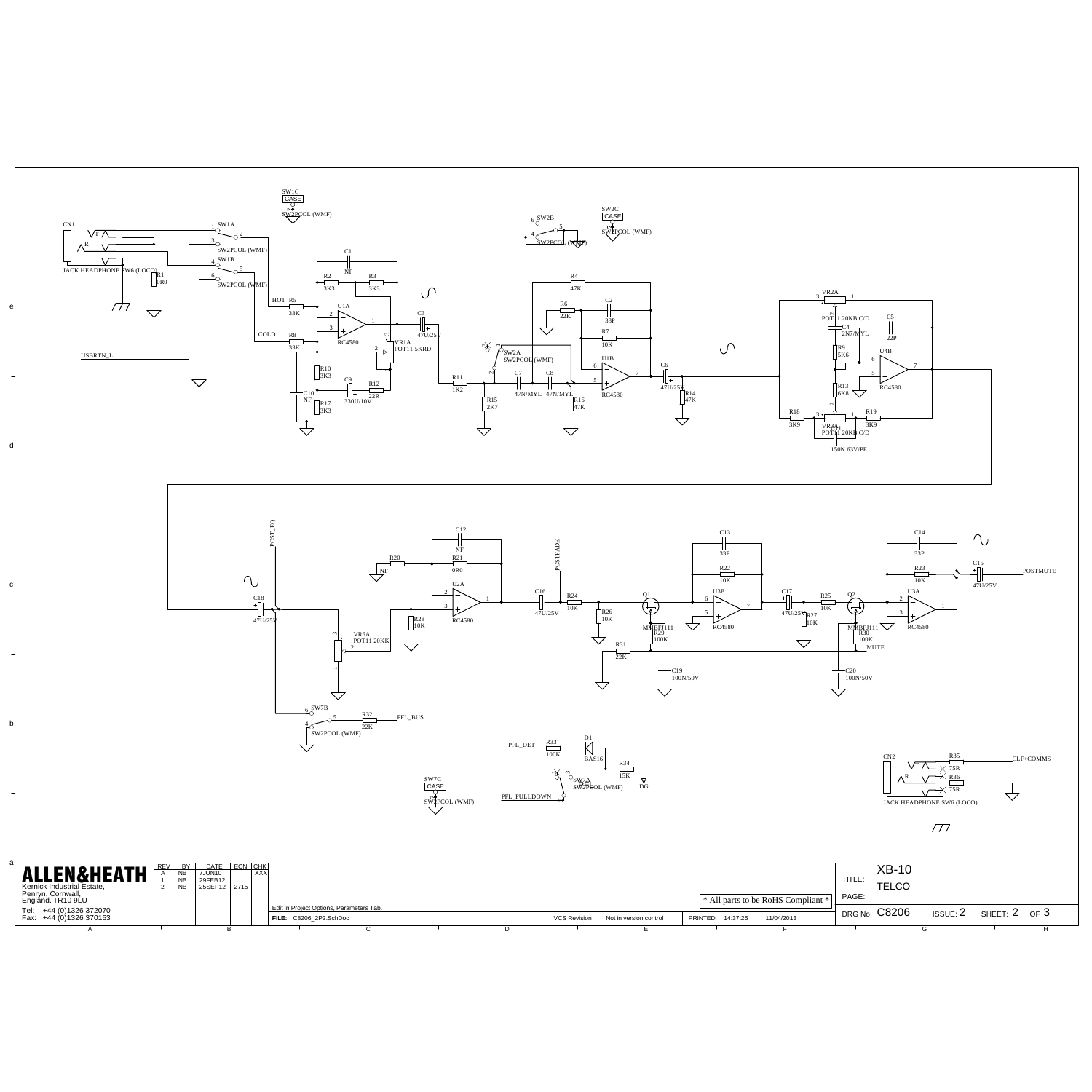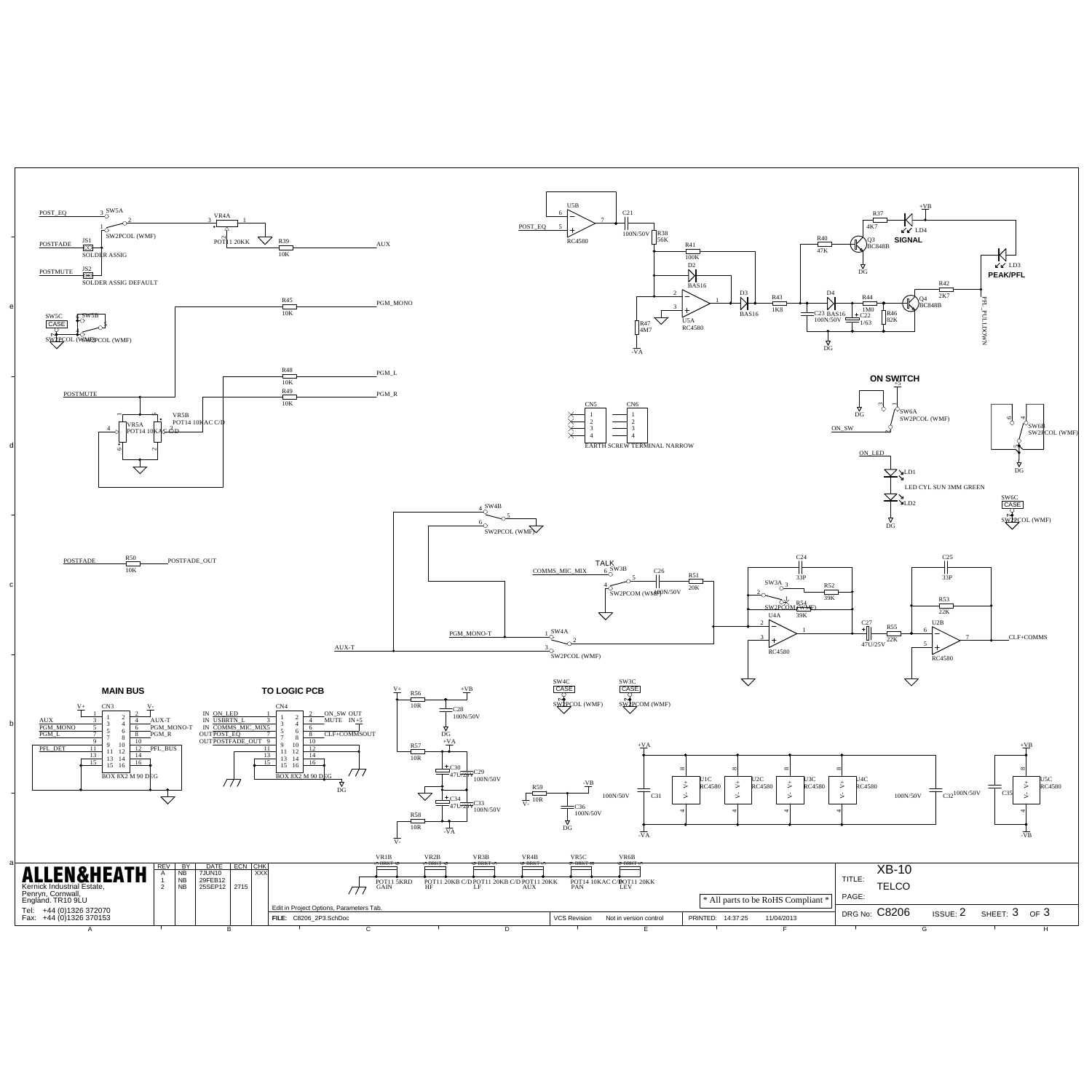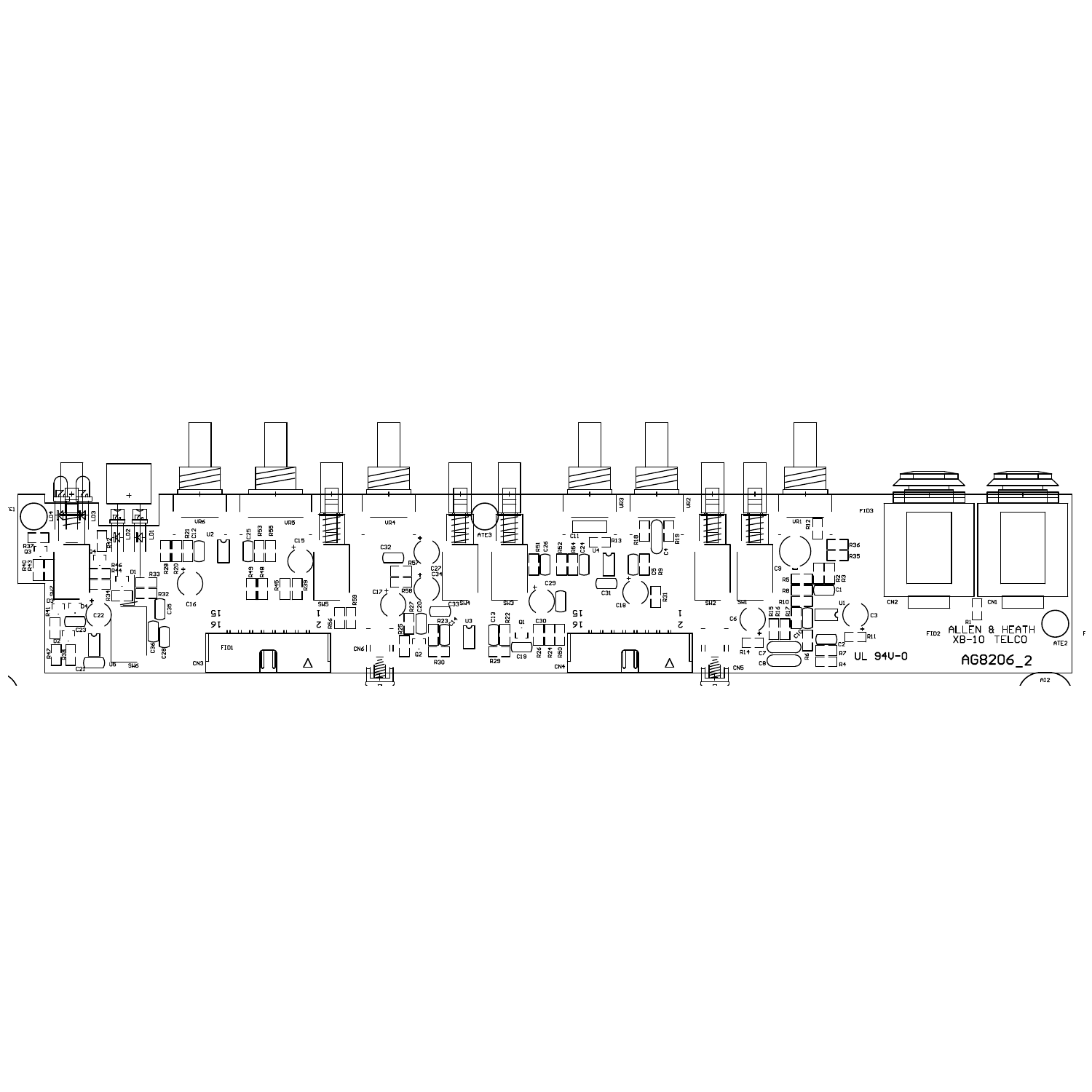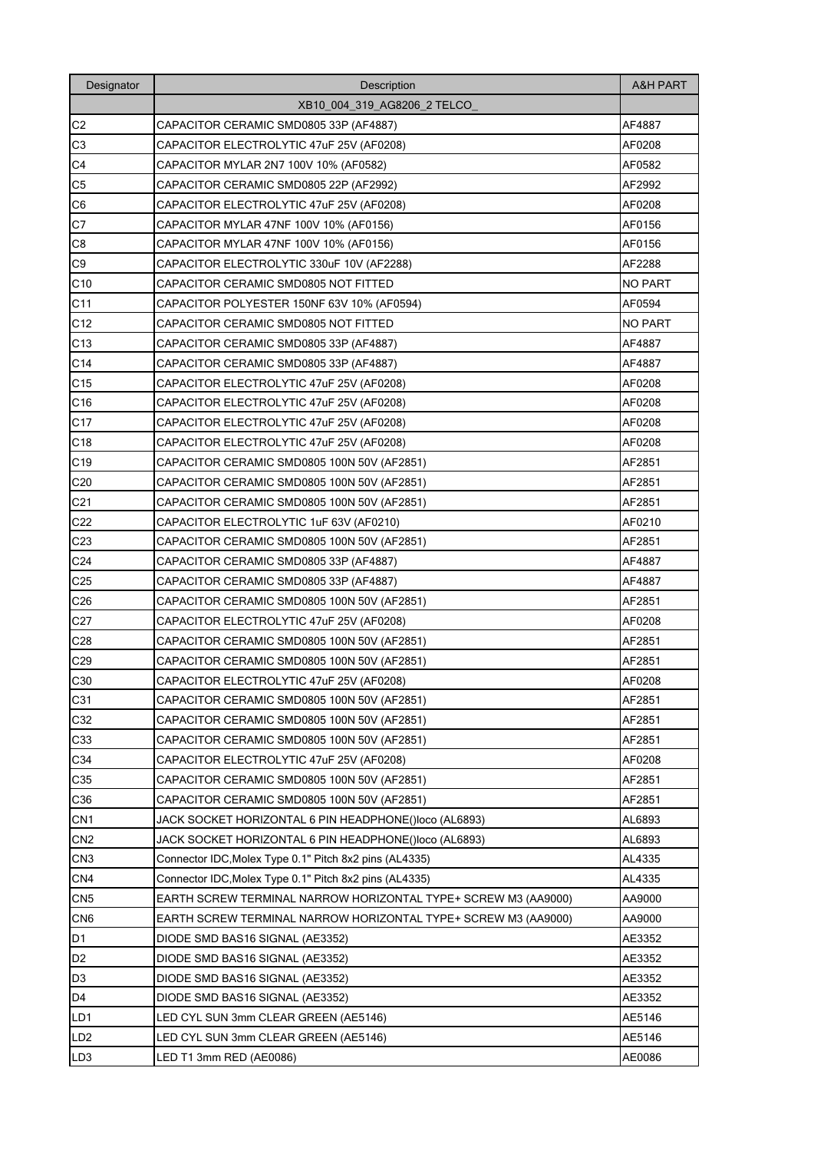| Designator      | Description                                                    | <b>A&amp;H PART</b> |
|-----------------|----------------------------------------------------------------|---------------------|
|                 | XB10_004_319_AG8206_2 TELCO                                    |                     |
| C <sub>2</sub>  | CAPACITOR CERAMIC SMD0805 33P (AF4887)                         | AF4887              |
| C <sub>3</sub>  | CAPACITOR ELECTROLYTIC 47uF 25V (AF0208)                       | AF0208              |
| C4              | CAPACITOR MYLAR 2N7 100V 10% (AF0582)                          | AF0582              |
| C <sub>5</sub>  | CAPACITOR CERAMIC SMD0805 22P (AF2992)                         | AF2992              |
| C <sub>6</sub>  | CAPACITOR ELECTROLYTIC 47uF 25V (AF0208)                       | AF0208              |
| C7              | CAPACITOR MYLAR 47NF 100V 10% (AF0156)                         | AF0156              |
| C8              | CAPACITOR MYLAR 47NF 100V 10% (AF0156)                         | AF0156              |
| C <sub>9</sub>  | CAPACITOR ELECTROLYTIC 330uF 10V (AF2288)                      | AF2288              |
| C10             | CAPACITOR CERAMIC SMD0805 NOT FITTED                           | <b>NO PART</b>      |
| C <sub>11</sub> | CAPACITOR POLYESTER 150NF 63V 10% (AF0594)                     | AF0594              |
| C12             | CAPACITOR CERAMIC SMD0805 NOT FITTED                           | <b>NO PART</b>      |
| C <sub>13</sub> | CAPACITOR CERAMIC SMD0805 33P (AF4887)                         | AF4887              |
| C <sub>14</sub> | CAPACITOR CERAMIC SMD0805 33P (AF4887)                         | AF4887              |
| C15             | CAPACITOR ELECTROLYTIC 47uF 25V (AF0208)                       | AF0208              |
| C16             | CAPACITOR ELECTROLYTIC 47uF 25V (AF0208)                       | AF0208              |
| C <sub>17</sub> | CAPACITOR ELECTROLYTIC 47uF 25V (AF0208)                       | AF0208              |
| C18             | CAPACITOR ELECTROLYTIC 47uF 25V (AF0208)                       | AF0208              |
| C <sub>19</sub> | CAPACITOR CERAMIC SMD0805 100N 50V (AF2851)                    | AF2851              |
| C <sub>20</sub> | CAPACITOR CERAMIC SMD0805 100N 50V (AF2851)                    | AF2851              |
| C <sub>21</sub> | CAPACITOR CERAMIC SMD0805 100N 50V (AF2851)                    | AF2851              |
| C <sub>22</sub> | CAPACITOR ELECTROLYTIC 1uF 63V (AF0210)                        | AF0210              |
| C <sub>23</sub> | CAPACITOR CERAMIC SMD0805 100N 50V (AF2851)                    | AF2851              |
| C <sub>24</sub> | CAPACITOR CERAMIC SMD0805 33P (AF4887)                         | AF4887              |
| C <sub>25</sub> | CAPACITOR CERAMIC SMD0805 33P (AF4887)                         | AF4887              |
| C <sub>26</sub> | CAPACITOR CERAMIC SMD0805 100N 50V (AF2851)                    | AF2851              |
| C <sub>27</sub> | CAPACITOR ELECTROLYTIC 47uF 25V (AF0208)                       | AF0208              |
| C <sub>28</sub> | CAPACITOR CERAMIC SMD0805 100N 50V (AF2851)                    | AF2851              |
| C <sub>29</sub> | CAPACITOR CERAMIC SMD0805 100N 50V (AF2851)                    | AF2851              |
| C30             | CAPACITOR ELECTROLYTIC 47uF 25V (AF0208)                       | AF0208              |
| C31             | CAPACITOR CERAMIC SMD0805 100N 50V (AF2851)                    | AF2851              |
| C32             | CAPACITOR CERAMIC SMD0805 100N 50V (AF2851)                    | AF2851              |
| C33             | CAPACITOR CERAMIC SMD0805 100N 50V (AF2851)                    | AF2851              |
| C34             | CAPACITOR ELECTROLYTIC 47uF 25V (AF0208)                       | AF0208              |
| C35             | CAPACITOR CERAMIC SMD0805 100N 50V (AF2851)                    | AF2851              |
| C36             | CAPACITOR CERAMIC SMD0805 100N 50V (AF2851)                    | AF2851              |
| CN <sub>1</sub> | JACK SOCKET HORIZONTAL 6 PIN HEADPHONE()loco (AL6893)          | AL6893              |
| CN <sub>2</sub> | JACK SOCKET HORIZONTAL 6 PIN HEADPHONE()loco (AL6893)          | AL6893              |
| CN <sub>3</sub> | Connector IDC, Molex Type 0.1" Pitch 8x2 pins (AL4335)         | AL4335              |
| CN4             | Connector IDC, Molex Type 0.1" Pitch 8x2 pins (AL4335)         | AL4335              |
| CN <sub>5</sub> | EARTH SCREW TERMINAL NARROW HORIZONTAL TYPE+ SCREW M3 (AA9000) | AA9000              |
| CN <sub>6</sub> | EARTH SCREW TERMINAL NARROW HORIZONTAL TYPE+ SCREW M3 (AA9000) | AA9000              |
| D1              | DIODE SMD BAS16 SIGNAL (AE3352)                                | AE3352              |
| D <sub>2</sub>  | DIODE SMD BAS16 SIGNAL (AE3352)                                | AE3352              |
| D <sub>3</sub>  | DIODE SMD BAS16 SIGNAL (AE3352)                                | AE3352              |
| D4              | DIODE SMD BAS16 SIGNAL (AE3352)                                | AE3352              |
| LD1             | LED CYL SUN 3mm CLEAR GREEN (AE5146)                           | AE5146              |
| LD <sub>2</sub> | LED CYL SUN 3mm CLEAR GREEN (AE5146)                           | AE5146              |
| LD <sub>3</sub> | LED T1 3mm RED (AE0086)                                        | AE0086              |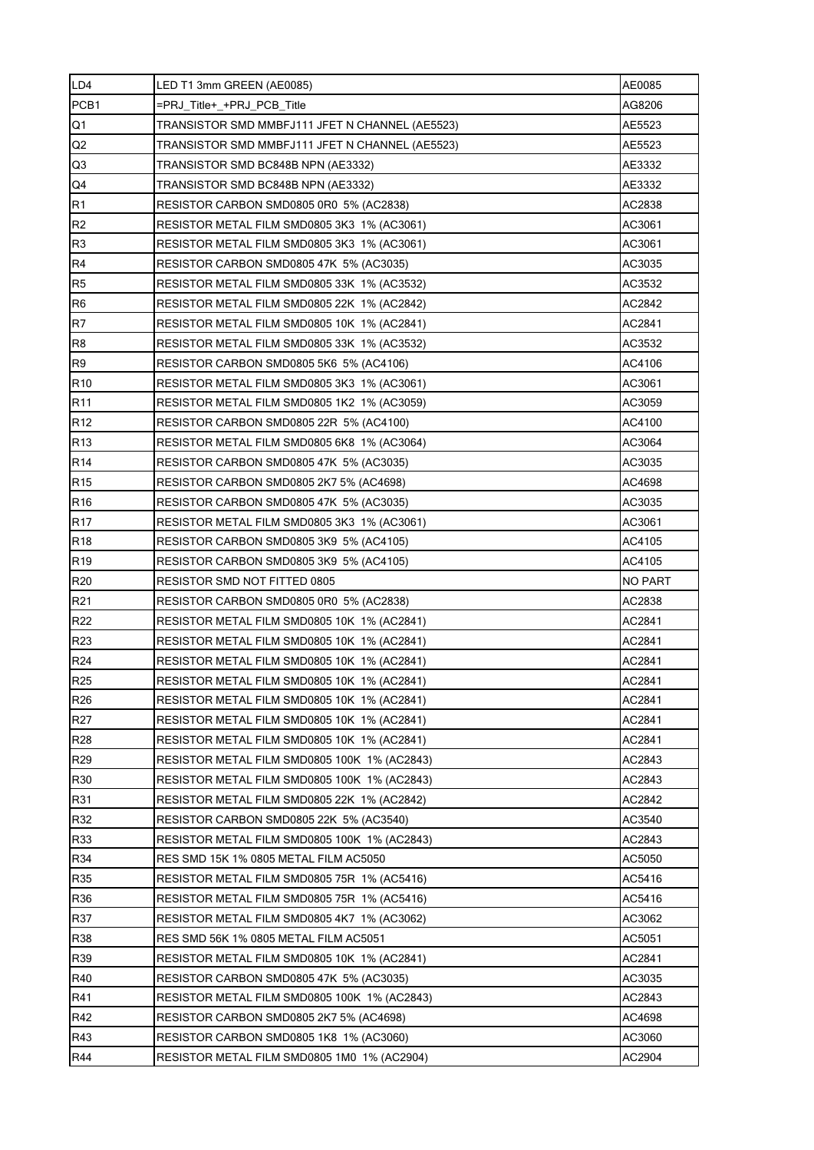| LD4             | LED T1 3mm GREEN (AE0085)                       | AE0085           |
|-----------------|-------------------------------------------------|------------------|
| PCB1            | =PRJ Title+ +PRJ PCB Title                      | AG8206           |
| Q1              | TRANSISTOR SMD MMBFJ111 JFET N CHANNEL (AE5523) | AE5523           |
| Q2              | TRANSISTOR SMD MMBFJ111 JFET N CHANNEL (AE5523) | AE5523           |
| Q <sub>3</sub>  | TRANSISTOR SMD BC848B NPN (AE3332)              | AE3332           |
| Q4              | TRANSISTOR SMD BC848B NPN (AE3332)              | AE3332           |
| R <sub>1</sub>  | RESISTOR CARBON SMD0805 0R0 5% (AC2838)         | AC2838           |
| R <sub>2</sub>  | RESISTOR METAL FILM SMD0805 3K3 1% (AC3061)     | AC3061           |
| R <sub>3</sub>  | RESISTOR METAL FILM SMD0805 3K3 1% (AC3061)     | AC3061           |
| R4              | RESISTOR CARBON SMD0805 47K 5% (AC3035)         | AC3035           |
| R <sub>5</sub>  | RESISTOR METAL FILM SMD0805 33K 1% (AC3532)     | AC3532           |
| R <sub>6</sub>  | RESISTOR METAL FILM SMD0805 22K 1% (AC2842)     | AC2842           |
| R7              | RESISTOR METAL FILM SMD0805 10K 1% (AC2841)     | AC2841           |
| R <sub>8</sub>  | RESISTOR METAL FILM SMD0805 33K 1% (AC3532)     | AC3532           |
| R <sub>9</sub>  | RESISTOR CARBON SMD0805 5K6 5% (AC4106)         | AC4106           |
| R <sub>10</sub> | RESISTOR METAL FILM SMD0805 3K3 1% (AC3061)     | AC3061           |
| R <sub>11</sub> | RESISTOR METAL FILM SMD0805 1K2 1% (AC3059)     | AC3059           |
| R <sub>12</sub> | RESISTOR CARBON SMD0805 22R 5% (AC4100)         | AC4100           |
| R <sub>13</sub> | RESISTOR METAL FILM SMD0805 6K8 1% (AC3064)     | AC3064           |
| R <sub>14</sub> | RESISTOR CARBON SMD0805 47K 5% (AC3035)         | AC3035           |
| R <sub>15</sub> | RESISTOR CARBON SMD0805 2K7 5% (AC4698)         | AC4698           |
| R <sub>16</sub> | RESISTOR CARBON SMD0805 47K 5% (AC3035)         | AC3035           |
| R <sub>17</sub> | RESISTOR METAL FILM SMD0805 3K3 1% (AC3061)     | AC3061           |
| R <sub>18</sub> | RESISTOR CARBON SMD0805 3K9 5% (AC4105)         | AC4105           |
| R <sub>19</sub> | RESISTOR CARBON SMD0805 3K9 5% (AC4105)         | AC4105           |
|                 |                                                 |                  |
| R <sub>20</sub> | RESISTOR SMD NOT FITTED 0805                    | NO PART          |
| R21             | RESISTOR CARBON SMD0805 0R0 5% (AC2838)         | AC2838           |
| R22             | RESISTOR METAL FILM SMD0805 10K 1% (AC2841)     | AC2841           |
| R23             | RESISTOR METAL FILM SMD0805 10K 1% (AC2841)     | AC2841           |
| R24             | RESISTOR METAL FILM SMD0805 10K 1% (AC2841)     | AC2841           |
| R <sub>25</sub> | RESISTOR METAL FILM SMD0805 10K 1% (AC2841)     | AC2841           |
| R <sub>26</sub> | RESISTOR METAL FILM SMD0805 10K 1% (AC2841)     | AC2841           |
| R <sub>27</sub> | RESISTOR METAL FILM SMD0805 10K 1% (AC2841)     | AC2841           |
| R <sub>28</sub> | RESISTOR METAL FILM SMD0805 10K 1% (AC2841)     | AC2841           |
| R <sub>29</sub> | RESISTOR METAL FILM SMD0805 100K 1% (AC2843)    | AC2843           |
| R30             | RESISTOR METAL FILM SMD0805 100K 1% (AC2843)    | AC2843           |
| R31             | RESISTOR METAL FILM SMD0805 22K 1% (AC2842)     | AC2842           |
| R32             | RESISTOR CARBON SMD0805 22K 5% (AC3540)         | AC3540           |
| R33             | RESISTOR METAL FILM SMD0805 100K 1% (AC2843)    | AC2843           |
| R34             | RES SMD 15K 1% 0805 METAL FILM AC5050           | AC5050           |
| R35             | RESISTOR METAL FILM SMD0805 75R 1% (AC5416)     | AC5416           |
| R36             | RESISTOR METAL FILM SMD0805 75R 1% (AC5416)     | AC5416           |
| R37             | RESISTOR METAL FILM SMD0805 4K7 1% (AC3062)     | AC3062           |
| <b>R38</b>      | RES SMD 56K 1% 0805 METAL FILM AC5051           | AC5051           |
| R39             | RESISTOR METAL FILM SMD0805 10K 1% (AC2841)     | AC2841           |
| R40             | RESISTOR CARBON SMD0805 47K 5% (AC3035)         | AC3035           |
| R41             | RESISTOR METAL FILM SMD0805 100K 1% (AC2843)    | AC2843           |
| R42             | RESISTOR CARBON SMD0805 2K7 5% (AC4698)         | AC4698           |
| R43<br>R44      | RESISTOR CARBON SMD0805 1K8 1% (AC3060)         | AC3060<br>AC2904 |